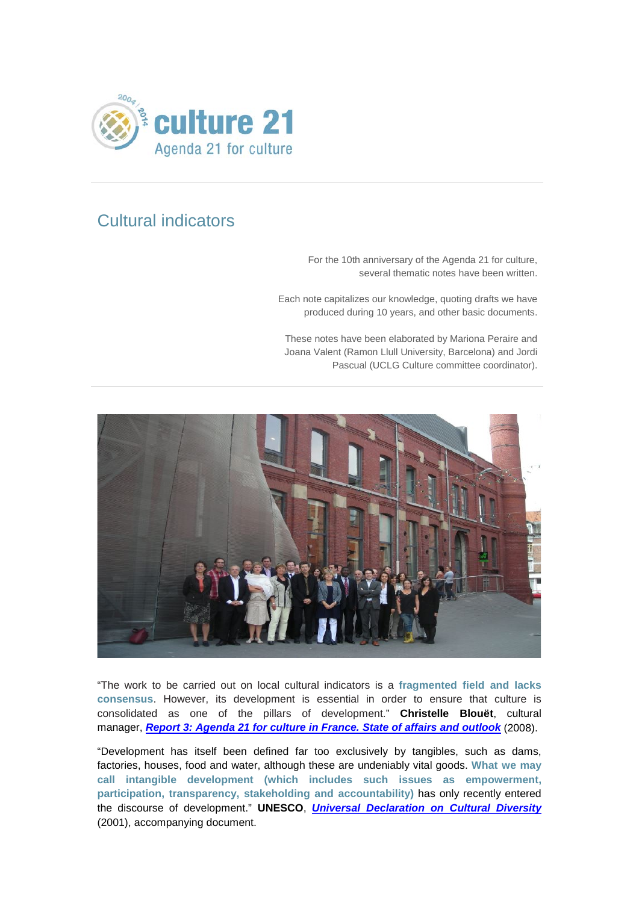

## Cultural indicators

For the 10th anniversary of the Agenda 21 for culture, several thematic notes have been written.

Each note capitalizes our knowledge, quoting drafts we have produced during 10 years, and other basic documents.

These notes have been elaborated by Mariona Peraire and Joana Valent (Ramon Llull University, Barcelona) and Jordi Pascual (UCLG Culture committee coordinator).



"The work to be carried out on local cultural indicators is a **fragmented field and lacks consensus**. However, its development is essential in order to ensure that culture is consolidated as one of the pillars of development." **Christelle Blouët**, cultural manager, *[Report 3: Agenda 21 for culture in France. State of affairs and outlook](http://www.agenda21culture.net/index.php/46-official-documentation-all/reports-all/367-report-3-agenda-21-for-culture-in-france-state-of-affairs-and-outlook)* (2008).

"Development has itself been defined far too exclusively by tangibles, such as dams, factories, houses, food and water, although these are undeniably vital goods. **What we may call intangible development (which includes such issues as empowerment, participation, transparency, stakeholding and accountability)** has only recently entered the discourse of development." **UNESCO**, *[Universal Declaration on Cultural Diversity](http://unesdoc.unesco.org/images/0012/001271/127162e.pdf)* (2001), accompanying document.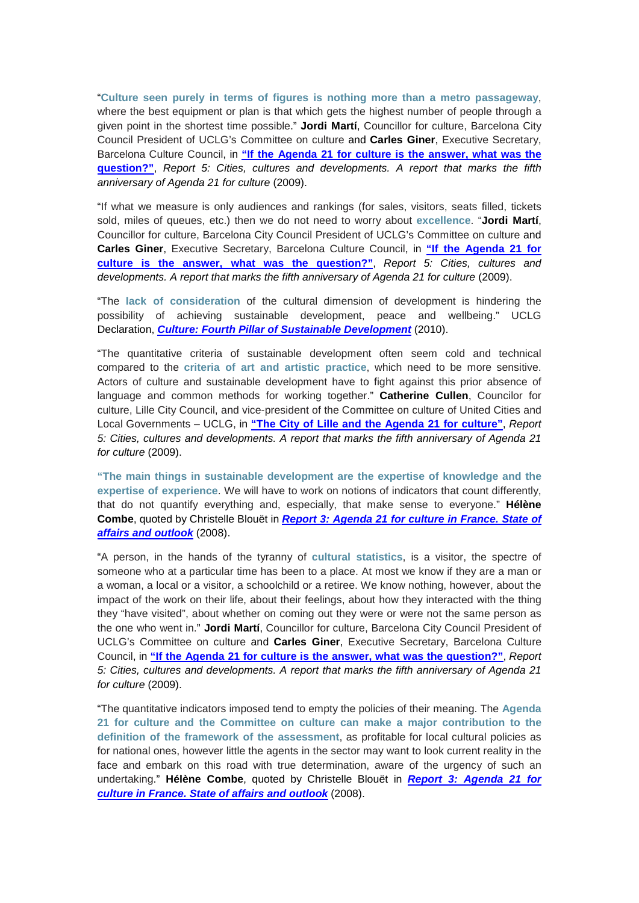"**Culture seen purely in terms of figures is nothing more than a metro passageway**, where the best equipment or plan is that which gets the highest number of people through a given point in the shortest time possible." **Jordi Martí**, Councillor for culture, Barcelona City Council President of UCLG's Committee on culture and **Carles Giner**, Executive Secretary, Barcelona Culture Council, in **["If the Agenda 21 for culture is the answer, what was the](http://www.agenda21culture.net/index.php/fr/47-official-documentation/rapports/371-rapport-5-villes-cultures-et-developpements-un-rapport-pour-souligner-le-cinquieme-anniversaire-de-l-agenda-21-de-la-culture)  [question?"](http://www.agenda21culture.net/index.php/fr/47-official-documentation/rapports/371-rapport-5-villes-cultures-et-developpements-un-rapport-pour-souligner-le-cinquieme-anniversaire-de-l-agenda-21-de-la-culture)**, *Report 5: Cities, cultures and developments. A report that marks the fifth anniversary of Agenda 21 for culture* (2009).

"If what we measure is only audiences and rankings (for sales, visitors, seats filled, tickets sold, miles of queues, etc.) then we do not need to worry about **excellence**. "**Jordi Martí**, Councillor for culture, Barcelona City Council President of UCLG's Committee on culture and **Carles Giner**, Executive Secretary, Barcelona Culture Council, in **["If the Agenda 21 for](http://www.agenda21culture.net/index.php/fr/47-official-documentation/rapports/371-rapport-5-villes-cultures-et-developpements-un-rapport-pour-souligner-le-cinquieme-anniversaire-de-l-agenda-21-de-la-culture)  [culture is the answer, what was the question?"](http://www.agenda21culture.net/index.php/fr/47-official-documentation/rapports/371-rapport-5-villes-cultures-et-developpements-un-rapport-pour-souligner-le-cinquieme-anniversaire-de-l-agenda-21-de-la-culture)**, *Report 5: Cities, cultures and developments. A report that marks the fifth anniversary of Agenda 21 for culture* (2009).

"The **lack of consideration** of the cultural dimension of development is hindering the possibility of achieving sustainable development, peace and wellbeing." UCLG Declaration, *Culture: Fourth [Pillar of Sustainable Development](http://www.agenda21culture.net/index.php/documents/culture-the-fourth-pillar-of-sustainability)* (2010).

"The quantitative criteria of sustainable development often seem cold and technical compared to the **criteria of art and artistic practice**, which need to be more sensitive. Actors of culture and sustainable development have to fight against this prior absence of language and common methods for working together." **Catherine Cullen**, Councilor for culture, Lille City Council, and vice-president of the Committee on culture of United Cities and Local Governments – UCLG, in **["The City of Lille and the Agenda 21 for culture"](http://www.agenda21culture.net/index.php/46-official-documentation-all/reports-all/365-report-5-cities-cultures-and-developments-a-report-that-marks-the-fifth-anniversary-of-agenda-21-for-culture)**, *Report 5: Cities, cultures and developments. A report that marks the fifth anniversary of Agenda 21 for culture* (2009).

**"The main things in sustainable development are the expertise of knowledge and the expertise of experience**. We will have to work on notions of indicators that count differently, that do not quantify everything and, especially, that make sense to everyone." **Hélène Combe**, quoted by Christelle Blouët in *[Report 3: Agenda 21 for culture in France. State of](http://www.agenda21culture.net/index.php/46-official-documentation-all/reports-all/367-report-3-agenda-21-for-culture-in-france-state-of-affairs-and-outlook)  [affairs and outlook](http://www.agenda21culture.net/index.php/46-official-documentation-all/reports-all/367-report-3-agenda-21-for-culture-in-france-state-of-affairs-and-outlook)* (2008).

"A person, in the hands of the tyranny of **cultural statistics**, is a visitor, the spectre of someone who at a particular time has been to a place. At most we know if they are a man or a woman, a local or a visitor, a schoolchild or a retiree. We know nothing, however, about the impact of the work on their life, about their feelings, about how they interacted with the thing they "have visited", about whether on coming out they were or were not the same person as the one who went in." **Jordi Martí**, Councillor for culture, Barcelona City Council President of UCLG's Committee on culture and **Carles Giner**, Executive Secretary, Barcelona Culture Council, in **["If the Agenda 21 for culture is the answer, what was the question?"](http://www.agenda21culture.net/index.php/fr/47-official-documentation/rapports/371-rapport-5-villes-cultures-et-developpements-un-rapport-pour-souligner-le-cinquieme-anniversaire-de-l-agenda-21-de-la-culture)**, *Report 5: Cities, cultures and developments. A report that marks the fifth anniversary of Agenda 21 for culture* (2009).

"The quantitative indicators imposed tend to empty the policies of their meaning. The **Agenda 21 for culture and the Committee on culture can make a major contribution to the definition of the framework of the assessment**, as profitable for local cultural policies as for national ones, however little the agents in the sector may want to look current reality in the face and embark on this road with true determination, aware of the urgency of such an undertaking." **Hélène Combe**, quoted by Christelle Blouët in *[Report 3: Agenda 21 for](http://www.agenda21culture.net/index.php/46-official-documentation-all/reports-all/367-report-3-agenda-21-for-culture-in-france-state-of-affairs-and-outlook)  [culture in France. State of affairs and outlook](http://www.agenda21culture.net/index.php/46-official-documentation-all/reports-all/367-report-3-agenda-21-for-culture-in-france-state-of-affairs-and-outlook)* (2008).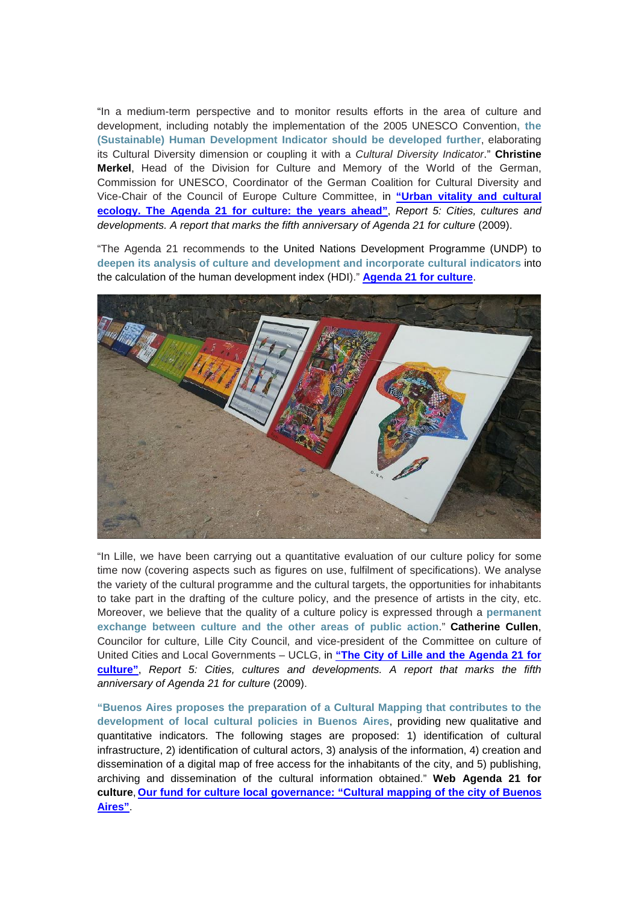"In a medium-term perspective and to monitor results efforts in the area of culture and development, including notably the implementation of the 2005 UNESCO Convention**, the (Sustainable) Human Development Indicator should be developed further**, elaborating its Cultural Diversity dimension or coupling it with a *Cultural Diversity Indicator*." **Christine Merkel**, Head of the Division for Culture and Memory of the World of the German, Commission for UNESCO, Coordinator of the German Coalition for Cultural Diversity and Vice-Chair of the Council of Europe Culture Committee, in **["Urban vitality and cultural](http://www.agenda21culture.net/index.php/fr/47-official-documentation/rapports/371-rapport-5-villes-cultures-et-developpements-un-rapport-pour-souligner-le-cinquieme-anniversaire-de-l-agenda-21-de-la-culture)  [ecology. The Agenda 21 for culture: the years ahead"](http://www.agenda21culture.net/index.php/fr/47-official-documentation/rapports/371-rapport-5-villes-cultures-et-developpements-un-rapport-pour-souligner-le-cinquieme-anniversaire-de-l-agenda-21-de-la-culture)**, *Report 5: Cities, cultures and developments. A report that marks the fifth anniversary of Agenda 21 for culture* (2009).

"The Agenda 21 recommends to the United Nations Development Programme (UNDP) to **deepen its analysis of culture and development and incorporate cultural indicators** into the calculation of the human development index (HDI)." **[Agenda 21 for culture](http://www.agenda21culture.net/index.php/documents/agenda-21-for-culture)**.



"In Lille, we have been carrying out a quantitative evaluation of our culture policy for some time now (covering aspects such as figures on use, fulfilment of specifications). We analyse the variety of the cultural programme and the cultural targets, the opportunities for inhabitants to take part in the drafting of the culture policy, and the presence of artists in the city, etc. Moreover, we believe that the quality of a culture policy is expressed through a **permanent exchange between culture and the other areas of public action**." **Catherine Cullen**, Councilor for culture, Lille City Council, and vice-president of the Committee on culture of United Cities and Local Governments – UCLG, in **["The City of Lille and the Agenda 21 for](http://www.agenda21culture.net/index.php/46-official-documentation-all/reports-all/365-report-5-cities-cultures-and-developments-a-report-that-marks-the-fifth-anniversary-of-agenda-21-for-culture)  [culture"](http://www.agenda21culture.net/index.php/46-official-documentation-all/reports-all/365-report-5-cities-cultures-and-developments-a-report-that-marks-the-fifth-anniversary-of-agenda-21-for-culture)**, *Report 5: Cities, cultures and developments. A report that marks the fifth anniversary of Agenda 21 for culture* (2009).

**"Buenos Aires proposes the preparation of a Cultural Mapping that contributes to the development of local cultural policies in Buenos Aires**, providing new qualitative and quantitative indicators. The following stages are proposed: 1) identification of cultural infrastructure, 2) identification of cultural actors, 3) analysis of the information, 4) creation and dissemination of a digital map of free access for the inhabitants of the city, and 5) publishing, archiving and dissemination of the cultural information obtained." **Web Agenda 21 for culture**, **Our fund for culture [local governance: "Cultural mapping of the city of Buenos](http://www.agenda21culture.net/index.php/54-official-documentation-all/projects-all/390-buenos-aires-argentina-cultural-mapping-of-the-city-of-buenos-aires)  [Aires"](http://www.agenda21culture.net/index.php/54-official-documentation-all/projects-all/390-buenos-aires-argentina-cultural-mapping-of-the-city-of-buenos-aires)**.